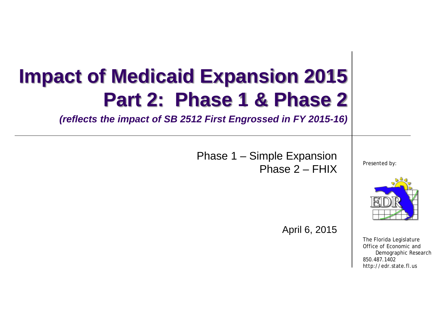# **Impact of Medicaid Expansion 2015 Part 2: Phase 1 & Phase 2**

*(reflects the impact of SB 2512 First Engrossed in FY 2015-16)*

Phase 1 – Simple Expansion Phase 2 – FHIX

Presented by:



April 6, 2015

The Florida Legislature Office of Economic and Demographic Research 850.487.1402 http://edr.state.fl.us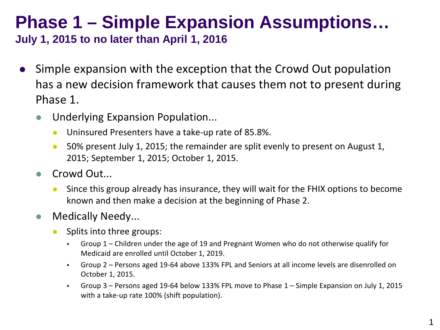## **Phase 1 – Simple Expansion Assumptions…**

**July 1, 2015 to no later than April 1, 2016**

- Simple expansion with the exception that the Crowd Out population has a new decision framework that causes them not to present during Phase 1.
	- **Underlying Expansion Population...** 
		- **Uninsured Presenters have a take-up rate of 85.8%.**
		- 50% present July 1, 2015; the remainder are split evenly to present on August 1, 2015; September 1, 2015; October 1, 2015.
	- Crowd Out...
		- Since this group already has insurance, they will wait for the FHIX options to become known and then make a decision at the beginning of Phase 2.
	- **Medically Needy...** 
		- Splits into three groups:
			- Group 1 Children under the age of 19 and Pregnant Women who do not otherwise qualify for Medicaid are enrolled until October 1, 2019.
			- Group 2 Persons aged 19-64 above 133% FPL and Seniors at all income levels are disenrolled on October 1, 2015.
			- Group 3 Persons aged 19-64 below 133% FPL move to Phase 1 Simple Expansion on July 1, 2015 with a take-up rate 100% (shift population).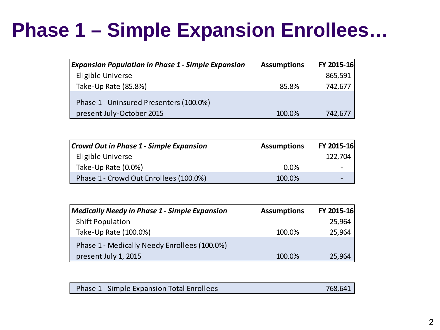## **Phase 1 – Simple Expansion Enrollees…**

| <b>Expansion Population in Phase 1 - Simple Expansion</b>            | <b>Assumptions</b> | FY 2015-16 |
|----------------------------------------------------------------------|--------------------|------------|
| Eligible Universe                                                    |                    | 865,591    |
| Take-Up Rate (85.8%)                                                 | 85.8%              | 742,677    |
| Phase 1 - Uninsured Presenters (100.0%)<br>present July-October 2015 | 100.0%             | 742,677    |

| Crowd Out in Phase 1 - Simple Expansion | <b>Assumptions</b> | FY 2015-16 |
|-----------------------------------------|--------------------|------------|
| Eligible Universe                       |                    | 122,704    |
| Take-Up Rate (0.0%)                     | 0.0%               |            |
| Phase 1 - Crowd Out Enrollees (100.0%)  | 100.0%             |            |

| <b>Medically Needy in Phase 1 - Simple Expansion</b> | <b>Assumptions</b> | FY 2015-16 |
|------------------------------------------------------|--------------------|------------|
| <b>Shift Population</b>                              |                    | 25,964     |
| Take-Up Rate (100.0%)                                | 100.0%             | 25,964     |
| Phase 1 - Medically Needy Enrollees (100.0%)         |                    |            |
| present July 1, 2015                                 | 100.0%             | 25,964     |

|  | Phase 1 - Simple Expansion Total Enrollees | 768.641 |
|--|--------------------------------------------|---------|
|--|--------------------------------------------|---------|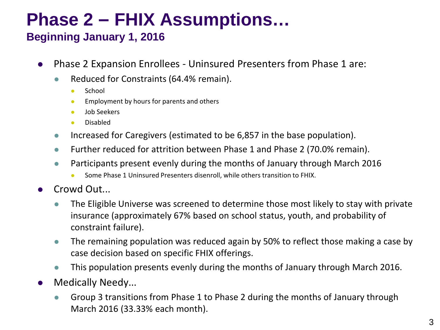## **Phase 2 – FHIX Assumptions…**

#### **Beginning January 1, 2016**

- Phase 2 Expansion Enrollees Uninsured Presenters from Phase 1 are:
	- Reduced for Constraints (64.4% remain).
		- **School**
		- **Employment by hours for parents and others**
		- Job Seekers
		- Disabled
	- Increased for Caregivers (estimated to be 6,857 in the base population).
	- Further reduced for attrition between Phase 1 and Phase 2 (70.0% remain).
	- **Participants present evenly during the months of January through March 2016** 
		- Some Phase 1 Uninsured Presenters disenroll, while others transition to FHIX.
- Crowd Out...
	- The Eligible Universe was screened to determine those most likely to stay with private insurance (approximately 67% based on school status, youth, and probability of constraint failure).
	- The remaining population was reduced again by 50% to reflect those making a case by case decision based on specific FHIX offerings.
	- This population presents evenly during the months of January through March 2016.
- Medically Needy...
	- **Group 3 transitions from Phase 1 to Phase 2 during the months of January through** March 2016 (33.33% each month).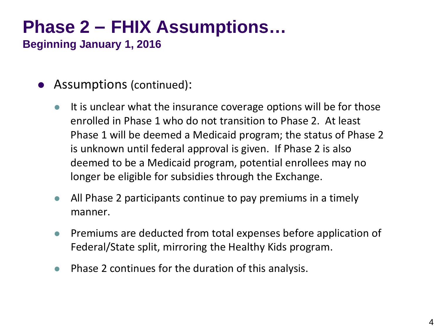## **Phase 2 – FHIX Assumptions…**

**Beginning January 1, 2016**

- Assumptions (continued):
	- $\bullet$  It is unclear what the insurance coverage options will be for those enrolled in Phase 1 who do not transition to Phase 2. At least Phase 1 will be deemed a Medicaid program; the status of Phase 2 is unknown until federal approval is given. If Phase 2 is also deemed to be a Medicaid program, potential enrollees may no longer be eligible for subsidies through the Exchange.
	- All Phase 2 participants continue to pay premiums in a timely manner.
	- **•** Premiums are deducted from total expenses before application of Federal/State split, mirroring the Healthy Kids program.
	- Phase 2 continues for the duration of this analysis.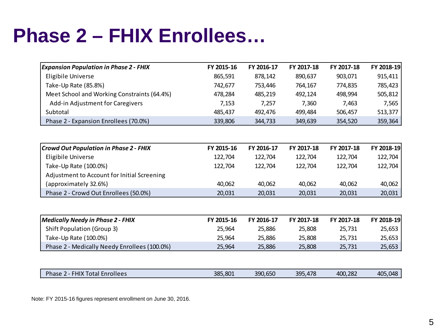## **Phase 2 – FHIX Enrollees…**

| FY 2016-17<br>878,142<br>753,446<br>485,219<br>7,257<br>492,476 | FY 2017-18<br>890,637<br>764,167<br>492,124<br>7,360 | FY 2017-18<br>903,071<br>774,835<br>498,994 | FY 2018-19<br>915,411<br>785,423 |
|-----------------------------------------------------------------|------------------------------------------------------|---------------------------------------------|----------------------------------|
|                                                                 |                                                      |                                             |                                  |
|                                                                 |                                                      |                                             |                                  |
|                                                                 |                                                      |                                             |                                  |
|                                                                 |                                                      |                                             | 505,812                          |
|                                                                 |                                                      | 7,463                                       | 7,565                            |
|                                                                 | 499,484                                              | 506,457                                     | 513,377                          |
| 344,733                                                         | 349,639                                              | 354,520                                     | 359,364                          |
|                                                                 |                                                      |                                             |                                  |
| FY 2016-17                                                      | FY 2017-18                                           | FY 2017-18                                  | FY 2018-19                       |
| 122,704                                                         | 122,704                                              | 122,704                                     | 122,704                          |
| 122,704                                                         | 122,704                                              | 122,704                                     | 122,704                          |
|                                                                 |                                                      |                                             |                                  |
| 40,062                                                          | 40,062                                               | 40,062                                      | 40,062                           |
| 20,031                                                          | 20,031                                               | 20,031                                      | 20,031                           |
|                                                                 |                                                      |                                             |                                  |
| FY 2016-17                                                      | FY 2017-18                                           | FY 2017-18                                  | FY 2018-19                       |
| 25,886                                                          | 25,808                                               | 25,731                                      | 25,653                           |
|                                                                 |                                                      |                                             | 25,653                           |
|                                                                 | 25,808                                               | 25,731                                      | 25,653                           |
|                                                                 | 25,886<br>25,886                                     | 25,808                                      | 25,731                           |

| Phase<br>$-11V$<br>Enrollees<br>Total | <b>Service Service</b><br>5,801<br>385 | 390,650 | 17Q<br><b>20F</b><br>470<br>-- | 400,282 | $\Omega$<br>AO <sup>r</sup><br>TV- |
|---------------------------------------|----------------------------------------|---------|--------------------------------|---------|------------------------------------|

Note: FY 2015-16 figures represent enrollment on June 30, 2016.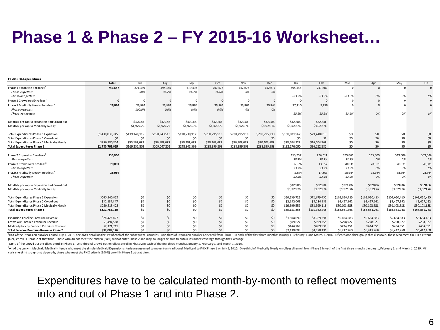### **Phase 1 & Phase 2 – FY 2015-16 Worksheet…**

| FY 2015-16 Expenditures                                                          |                 |               |               |               |               |               |               |                        |                        |                        |                        |               |               |
|----------------------------------------------------------------------------------|-----------------|---------------|---------------|---------------|---------------|---------------|---------------|------------------------|------------------------|------------------------|------------------------|---------------|---------------|
|                                                                                  | Total           | Jul           | Aug           | Sep           | Oct           | Nov           | Dec           | Jan                    | Feb                    | Mar                    | Apr                    | May           | Jun           |
| Phase 1 Expansion Enrollees <sup>1</sup>                                         | 742,677         | 371,339       | 495,366       | 619,393       | 742,677       | 742,677       | 742,677       | 495,143                | 247,609                | $\Omega$               |                        | $\Omega$      | $\Omega$      |
| Phase-in pattern                                                                 |                 | 50%           | 16.7%         | 16.7%         | 16.6%         | 0%            | 0%            |                        |                        |                        |                        |               |               |
| Phase-out pattern                                                                |                 |               |               |               |               |               |               | $-33.3%$               | $-33.3%$               | $-33.3%$               | 0%                     | 0%            | 0%            |
| Phase 1 Crowd out Enrollees <sup>2</sup>                                         |                 | $\Omega$      | $\Omega$      | $\Omega$      |               | o             | $\Omega$      | $\Omega$               | n                      | O                      |                        |               | $\mathbf{0}$  |
| Phase 1 Medically Needy Enrollees <sup>3</sup>                                   | 25,964          | 25,964        | 25,964        | 25,964        | 25,964        | 25,964        | 25,964        | 17,310                 | 8,656                  | O                      |                        |               |               |
| Phase-in pattern                                                                 |                 | 100.0%        | 0.0%          | 0.0%          | 0.0%          | 0%            | 0%            |                        |                        |                        |                        |               |               |
| Phase-out pattern                                                                |                 |               |               |               |               |               |               | $-33.3%$               | $-33.3%$               | $-33.3%$               | 0%                     | 0%            | 0%            |
|                                                                                  |                 |               |               |               |               |               |               |                        |                        |                        |                        |               |               |
| Monthly per capita Expansion and Crowd out                                       |                 | \$320.86      | \$320.86      | \$320.86      | \$320.86      | \$320.86      | \$320.86      | \$320.86               | \$320.86               |                        |                        |               |               |
| Monthly per capita Medically Needy                                               |                 | \$1,929.76    | \$1,929.76    | \$1,929.76    | \$1,929.76    | \$1,929.76    | \$1,929.76    | \$1,929.76             | \$1,929.76             |                        |                        |               |               |
|                                                                                  |                 |               |               |               |               |               |               |                        |                        |                        |                        |               |               |
| <b>Total Expenditures Phase 1 Expansion</b>                                      | \$1,430,038,245 | \$119,148,115 | \$158,943,513 | \$198,738,912 | \$238,295,910 | \$238,295,910 | \$238,295,910 | \$158,871,962          | \$79,448,013           | \$0                    | \$0                    | \$0           | \$0           |
| Total Expenditures Phase 1 Crowd out                                             | \$0             | \$0           | \$0           | \$0           | \$0           | \$0           | \$0           | \$0                    | \$0                    | \$0                    | \$0                    | \$0           | \$0           |
| Total Expenditures Phase 1 Medically Needy                                       | \$350,730,824   | \$50,103,688  | \$50,103,688  | \$50,103,688  | \$50,103,688  | \$50,103,688  | \$50,103,688  | \$33,404,129           | \$16,704,569           | \$0                    | \$0                    | \$0           | \$0           |
| <b>Total Expenditures Phase 1</b>                                                | \$1,780,769,069 | \$169,251,803 | \$209,047,201 | \$248,842,599 | \$288,399,598 | \$288,399,598 | \$288,399,598 | \$192,276,090          | \$96,152,582           | \$0                    | \$0                    | \$0           | \$0           |
|                                                                                  |                 |               |               |               |               |               |               |                        |                        |                        |                        |               |               |
| Phase 2 Expansion Enrollees <sup>1</sup>                                         | 339,806         |               |               |               |               |               |               | 113,257                | 226,514                | 339,806                | 339,806                | 339,806       | 339,806       |
| Phase-in pattern                                                                 |                 |               |               |               |               |               |               | 33.3%                  | 33.3%                  | 33.3%                  | 0%                     | 0%            | 0%            |
| Phase 2 Crowd out Enrollees'                                                     | 20,031          |               |               |               |               |               |               | 6,676                  | 13,352                 | 20,031                 | 20,031                 | 20,031        | 20,031        |
| Phase-in pattern                                                                 |                 |               |               |               |               |               |               | 33.3%                  | 33.3%                  | 33.3%                  | 0%                     | 0%            | 0%            |
| Phase 2 Medically Needy Enrollees <sup>1</sup>                                   | 25,964          |               |               |               |               |               |               | 8,654                  | 17,307                 | 25,964                 | 25,964                 | 25,964        | 25,964        |
| Phase-in pattern                                                                 |                 |               |               |               |               |               |               | 33.3%                  | 33.3%                  | 33.3%                  | 0%                     | 0%            | 0%            |
|                                                                                  |                 |               |               |               |               |               |               |                        |                        |                        |                        | \$320.86      | \$320.86      |
| Monthly per capita Expansion and Crowd out<br>Monthly per capita Medically Needy |                 |               |               |               |               |               |               | \$320.86<br>\$1,929.76 | \$320.86<br>\$1,929.76 | \$320.86<br>\$1,929.76 | \$320.86<br>\$1,929.76 | \$1,929.76    | \$1,929.76    |
|                                                                                  |                 |               |               |               |               |               |               |                        |                        |                        |                        |               |               |
| Total Expenditures Phase 2 Expansion                                             | \$545,140,835   | \$0           | \$0           | \$0           | \$0           | \$0           | \$0           | \$36,339,728           | \$72,679,455           | \$109,030,413          | \$109,030,413          | \$109,030,413 | \$109,030,413 |
| Total Expenditures Phase 2 Crowd out                                             | \$32,134,847    | \$O           | \$0           | \$0           | \$O           | \$0           | \$0           | \$2,142,066            | \$4,284,133            | \$6,427,162            | \$6,427,162            | \$6,427,162   | \$6,427,162   |
| Total Expenditures Phase 2 Medically Needy                                       | \$250,513,428   | \$0           | \$0           | \$0           | SO            | \$0           | \$0           | \$16,699,559           | \$33,399,118           | \$50,103,688           | \$50,103,688           | \$50,103,688  | \$50,103,688  |
| <b>Total Expenditures Phase 2</b>                                                | \$827,789,110   | \$O           | \$0           | \$0           | \$O           | \$0           | \$0           | \$55,181,353           | \$110,362,706          | \$165,561,263          | \$165,561,263          | \$165,561,263 | \$165,561,263 |
|                                                                                  |                 |               |               |               |               |               |               |                        |                        |                        |                        |               |               |
| <b>Expansion Enrollee Premium Revenue</b>                                        | \$28,422,827    | \$0           | \$0           | \$0           | \$0           | \$0           | \$0           | \$1,894,699            | \$3,789,398            | \$5,684,683            | \$5,684,683            | \$5,684,683   | \$5,684,683   |
| Crowd out Enrollee Premium Revenue                                               | \$1,494,588     | \$0           | \$0           | \$0           | \$0           | \$0           | \$0           | \$99,627               | \$199,255              | \$298,927              | \$298,927              | \$298,927     | \$298,927     |
| Medically Needy Enrollee Premium Revenue                                         | \$2,171,711     | \$0           | \$0           | \$0           | \$0           | \$0           | \$0           | \$144,769              | \$289,538              | \$434,351              | \$434,351              | \$434,351     | \$434,351     |
| <b>Total Enrollee Premium Revenue Phase 2</b>                                    | \$32,089,126    | \$O           | \$0           | \$O           | \$0           | \$0           | SO            | \$2,139,095            | \$4,278,191            | \$6,417,960            | \$6,417,960            | \$6,417,960   | \$6,417,960   |

Half of the Expansion enrollees enroll July 1, 2015; one-sixth enroll on the 1st of each of the subsequent 3 months. One-third of Expansion enrollees disenroll from Phase 1 in each of the first three months: January 1, Feb (46%) enroll in Phase 2 at that time. Those who do not meet the criteria (54%) cannot enter Phase 2 and may no longer be able to obtain insurance coverage through the Exchange.

<sup>2</sup>None of the Crowd out enrollees enroll in Phase 1. One-third of Crowd out enrollees enroll in Phase 2 in each of the first three months: January 1, February 1, and March 1, 2016.

<sup>3</sup>All of the current Medicaid Medically Needy who meet the simple Medicaid Expansion criteria are assumed to move from traditional Medicaid to FHIX Phase 1 on July 1, 2016. One-third of Medically Needy enrollees disenroll each one-third group that disenrolls, those who meet the FHIX criteria (100%) enroll in Phase 2 at that time.

Expenditures have to be calculated month-by-month to reflect movements into and out of Phase 1 and into Phase 2.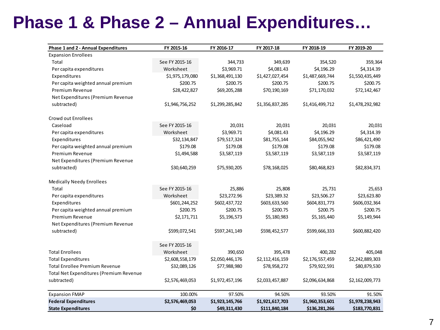### **Phase 1 & Phase 2 – Annual Expenditures…**

| Phase 1 and 2 - Annual Expenditures            | FY 2015-16      | FY 2016-17      | FY 2017-18      | FY 2018-19      | FY 2019-20      |
|------------------------------------------------|-----------------|-----------------|-----------------|-----------------|-----------------|
| <b>Expansion Enrollees</b>                     |                 |                 |                 |                 |                 |
| Total                                          | See FY 2015-16  | 344,733         | 349,639         | 354,520         | 359,364         |
| Per capita expenditures                        | Worksheet       | \$3,969.71      | \$4,081.43      | \$4,196.29      | \$4,314.39      |
| Expenditures                                   | \$1,975,179,080 | \$1,368,491,130 | \$1,427,027,454 | \$1,487,669,744 | \$1,550,435,449 |
| Per capita weighted annual premium             | \$200.75        | \$200.75        | \$200.75        | \$200.75        | \$200.75        |
| <b>Premium Revenue</b>                         | \$28,422,827    | \$69,205,288    | \$70,190,169    | \$71,170,032    | \$72,142,467    |
| Net Expenditures (Premium Revenue              |                 |                 |                 |                 |                 |
| subtracted)                                    | \$1,946,756,252 | \$1,299,285,842 | \$1,356,837,285 | \$1,416,499,712 | \$1,478,292,982 |
| Crowd out Enrollees                            |                 |                 |                 |                 |                 |
| Caseload                                       | See FY 2015-16  | 20,031          | 20,031          | 20,031          | 20,031          |
| Per capita expenditures                        | Worksheet       | \$3,969.71      | \$4,081.43      | \$4,196.29      | \$4,314.39      |
| Expenditures                                   | \$32,134,847    | \$79,517,324    | \$81,755,144    | \$84,055,942    | \$86,421,490    |
| Per capita weighted annual premium             | \$179.08        | \$179.08        | \$179.08        | \$179.08        | \$179.08        |
| Premium Revenue                                | \$1,494,588     | \$3,587,119     | \$3,587,119     | \$3,587,119     | \$3,587,119     |
| Net Expenditures (Premium Revenue              |                 |                 |                 |                 |                 |
| subtracted)                                    | \$30,640,259    | \$75,930,205    | \$78,168,025    | \$80,468,823    | \$82,834,371    |
| <b>Medically Needy Enrollees</b>               |                 |                 |                 |                 |                 |
| Total                                          | See FY 2015-16  | 25,886          | 25,808          | 25,731          | 25,653          |
| Per capita expenditures                        | Worksheet       | \$23,272.96     | \$23,389.32     | \$23,506.27     | \$23,623.80     |
| Expenditures                                   | \$601,244,252   | \$602,437,722   | \$603,633,560   | \$604,831,773   | \$606,032,364   |
| Per capita weighted annual premium             | \$200.75        | \$200.75        | \$200.75        | \$200.75        | \$200.75        |
| <b>Premium Revenue</b>                         | \$2,171,711     | \$5,196,573     | \$5,180,983     | \$5,165,440     | \$5,149,944     |
| Net Expenditures (Premium Revenue              |                 |                 |                 |                 |                 |
| subtracted)                                    | \$599,072,541   | \$597,241,149   | \$598,452,577   | \$599,666,333   | \$600,882,420   |
|                                                | See FY 2015-16  |                 |                 |                 |                 |
| <b>Total Enrollees</b>                         | Worksheet       | 390,650         | 395,478         | 400,282         | 405,048         |
| <b>Total Expenditures</b>                      | \$2,608,558,179 | \$2,050,446,176 | \$2,112,416,159 | \$2,176,557,459 | \$2,242,889,303 |
| <b>Total Enrollee Premium Revenue</b>          | \$32,089,126    | \$77,988,980    | \$78,958,272    | \$79,922,591    | \$80,879,530    |
| <b>Total Net Expenditures (Premium Revenue</b> |                 |                 |                 |                 |                 |
| subtracted)                                    | \$2,576,469,053 | \$1,972,457,196 | \$2,033,457,887 | \$2,096,634,868 | \$2,162,009,773 |
| <b>Expansion FMAP</b>                          | 100.00%         | 97.50%          | 94.50%          | 93.50%          | 91.50%          |
| <b>Federal Expenditures</b>                    | \$2,576,469,053 | \$1,923,145,766 | \$1,921,617,703 | \$1,960,353,601 | \$1,978,238,943 |
| <b>State Expenditures</b>                      | \$0             | \$49,311,430    | \$111,840,184   | \$136,281,266   | \$183,770,831   |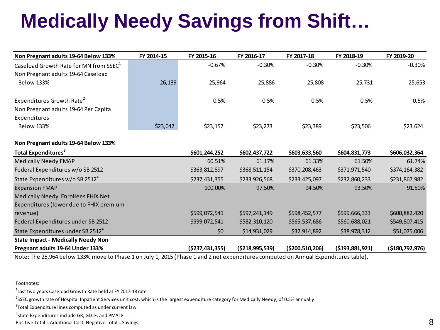# **Medically Needy Savings from Shift…**

| Non Pregnant adults 19-64 Below 133%               | FY 2014-15 | FY 2015-16       | FY 2016-17         | FY 2017-18      | FY 2018-19     | FY 2019-20         |
|----------------------------------------------------|------------|------------------|--------------------|-----------------|----------------|--------------------|
| Caseload Growth Rate for MN from SSEC <sup>1</sup> |            | $-0.67%$         | $-0.30%$           | $-0.30%$        | $-0.30%$       | $-0.30%$           |
| Non Pregnant adults 19-64 Caseload                 |            |                  |                    |                 |                |                    |
| <b>Below 133%</b>                                  | 26,139     | 25,964           | 25,886             | 25,808          | 25,731         | 25,653             |
|                                                    |            |                  |                    |                 |                |                    |
| Expenditures Growth Rate <sup>2</sup>              |            | 0.5%             | 0.5%               | 0.5%            | 0.5%           | 0.5%               |
| Non Pregnant adults 19-64 Per Capita               |            |                  |                    |                 |                |                    |
| Expenditures                                       |            |                  |                    |                 |                |                    |
| <b>Below 133%</b>                                  | \$23,042   | \$23,157         | \$23,273           | \$23,389        | \$23,506       | \$23,624           |
| Non Pregnant adults 19-64 Below 133%               |            |                  |                    |                 |                |                    |
| Total Expenditures <sup>3</sup>                    |            | \$601,244,252    | \$602,437,722      | \$603,633,560   | \$604,831,773  | \$606,032,364      |
| <b>Medically Needy FMAP</b>                        |            | 60.51%           | 61.17%             | 61.33%          | 61.50%         | 61.74%             |
| Federal Expenditures w/o SB 2512                   |            | \$363,812,897    | \$368,511,154      | \$370,208,463   | \$371,971,540  | \$374,164,382      |
| State Expenditures w/o SB 2512 <sup>4</sup>        |            | \$237,431,355    | \$233,926,568      | \$233,425,097   | \$232,860,233  | \$231,867,982      |
| <b>Expansion FMAP</b>                              |            | 100.00%          | 97.50%             | 94.50%          | 93.50%         | 91.50%             |
| Medically Needy Enrollees FHIX Net                 |            |                  |                    |                 |                |                    |
| Expenditures (lower due to FHIX premium            |            |                  |                    |                 |                |                    |
| revenue)                                           |            | \$599,072,541    | \$597,241,149      | \$598,452,577   | \$599,666,333  | \$600,882,420      |
| Federal Expenditures under SB 2512                 |            | \$599,072,541    | \$582,310,120      | \$565,537,686   | \$560,688,021  | \$549,807,415      |
| State Expenditures under SB 2512 <sup>4</sup>      |            | \$0              | \$14,931,029       | \$32,914,892    | \$38,978,312   | \$51,075,006       |
| <b>State Impact - Medically Needy Non</b>          |            |                  |                    |                 |                |                    |
| Pregnant adults 19-64 Under 133%                   |            | ( \$237,431,355) | ( \$218, 995, 539) | (\$200,510,206) | (5193,881,921) | ( \$180, 792, 976) |

Note: The 25,964 below 133% move to Phase 1 on July 1, 2015 (Phase 1 and 2 net expenditures computed on Annual Expenditures table).

Footnotes:

 $^{1}$ Last two years Caseload Growth Rate held at FY 2017-18 rate

<sup>2</sup>SSEC growth rate of Hospital Inpatient Services unit cost, which is the largest expenditure category for Medically Needy, of 0.5% annually

 $3$ Total Expenditure lines computed as under current law

4 State Expenditures include GR, GDTF, and PMATF

Positive Total = Additional Cost; Negative Total = Savings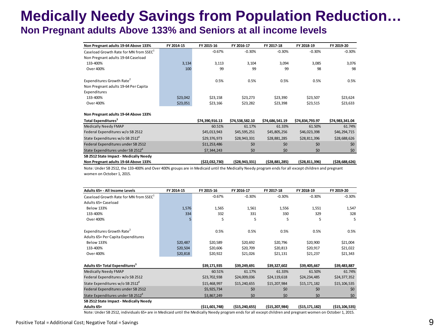### **Medically Needy Savings from Population Reduction… Non Pregnant adults Above 133% and Seniors at all income levels**

| Non Pregnant adults 19-64 Above 133%               | FY 2014-15 | FY 2015-16      | FY 2016-17      | FY 2017-18      | FY 2018-19      | FY 2019-20      |
|----------------------------------------------------|------------|-----------------|-----------------|-----------------|-----------------|-----------------|
| Caseload Growth Rate for MN from SSEC <sup>1</sup> |            | $-0.67%$        | $-0.30%$        | $-0.30%$        | $-0.30%$        | $-0.30%$        |
| Non Pregnant adults 19-64 Caseload                 |            |                 |                 |                 |                 |                 |
| 133-400%                                           | 3,134      | 3,113           | 3,104           | 3,094           | 3,085           | 3,076           |
| Over 400%                                          | 100        | 99              | 99              | 99              | 98              | 98              |
| Expenditures Growth Rate <sup>2</sup>              |            | 0.5%            | 0.5%            | 0.5%            | 0.5%            | 0.5%            |
| Non Pregnant adults 19-64 Per Capita               |            |                 |                 |                 |                 |                 |
| Expenditures                                       |            |                 |                 |                 |                 |                 |
| 133-400%                                           | \$23,042   | \$23,158        | \$23,273        | \$23,390        | \$23,507        | \$23,624        |
| Over 400%                                          | \$23,051   | \$23,166        | \$23,282        | \$23,398        | \$23,515        | \$23,633        |
| Non Pregnant adults 19-64 Above 133%               |            |                 |                 |                 |                 |                 |
| Total Expenditures <sup>3</sup>                    |            | \$74,390,916.13 | \$74,538,582.10 | \$74,686,541.19 | \$74,834,793.97 | \$74,983,341.04 |
| Medically Needy FMAP                               |            | 60.51%          | 61.17%          | 61.33%          | 61.50%          | 61.74%          |
| Federal Expenditures w/o SB 2512                   |            | \$45,013,943    | \$45,595,251    | \$45,805,256    | \$46,023,398    | \$46,294,715    |
| State Expenditures w/o SB 2512 <sup>4</sup>        |            | \$29,376,973    | \$28,943,331    | \$28,881,285    | \$28,811,396    | \$28,688,626    |
| Federal Expenditures under SB 2512                 |            | \$11,253,486    | \$0             | \$0             | \$0             | \$0             |
| State Expenditures under SB 2512 <sup>4</sup>      |            | \$7,344,243     | \$0             | \$0             | \$0             | \$0             |
| SB 2512 State Impact - Medically Needy             |            |                 |                 |                 |                 |                 |
| Non Pregnant adults 19-64 Above 133%               |            | (\$22,032,730)  | (\$28,943,331)  | (528, 881, 285) | (\$28,811,396)  | (528, 688, 626) |

Note: Under SB 2512, the 133-400% and Over 400% groups are in Medicaid until the Medically Needy program ends for all except children and pregnant women on October 1, 2015.

| Adults 65+ - All Income Levels                     | FY 2014-15 | FY 2015-16       | FY 2016-17        | FY 2017-18      | FY 2018-19      | FY 2019-20        |
|----------------------------------------------------|------------|------------------|-------------------|-----------------|-----------------|-------------------|
| Caseload Growth Rate for MN from SSEC <sup>1</sup> |            | $-0.67%$         | $-0.30%$          | $-0.30%$        | $-0.30%$        | $-0.30%$          |
| Adults 65+ Caseload                                |            |                  |                   |                 |                 |                   |
| <b>Below 133%</b>                                  | 1,576      | 1,565            | 1,561             | 1,556           | 1,551           | 1,547             |
| 133-400%                                           | 334        | 332              | 331               | 330             | 329             | 328               |
| Over 400%                                          |            | 5                | 5                 | 5               | 5               | 5                 |
| Expenditures Growth Rate <sup>2</sup>              |            | 0.5%             | 0.5%              | 0.5%            | 0.5%            | 0.5%              |
| Adults 65+ Per Capita Expenditures                 |            |                  |                   |                 |                 |                   |
| <b>Below 133%</b>                                  | \$20,487   | \$20,589         | \$20,692          | \$20,796        | \$20,900        | \$21,004          |
| 133-400%                                           | \$20,504   | \$20,606         | \$20,709          | \$20,813        | \$20,917        | \$21,022          |
| Over 400%                                          | \$20,818   | \$20,922         | \$21,026          | \$21,131        | \$21,237        | \$21,343          |
| Adults 65+ Total Expenditures <sup>3</sup>         |            | \$39,171,935     | \$39,249,691      | \$39,327,602    | \$39,405,667    | \$39,483,887      |
| Medically Needy FMAP                               |            | 60.51%           | 61.17%            | 61.33%          | 61.50%          | 61.74%            |
| Federal Expenditures w/o SB 2512                   |            | \$23,702,938     | \$24,009,036      | \$24,119,618    | \$24,234,485    | \$24,377,352      |
| State Expenditures w/o SB 2512 <sup>4</sup>        |            | \$15,468,997     | \$15,240,655      | \$15,207,984    | \$15,171,182    | \$15,106,535      |
| Federal Expenditures under SB 2512                 |            | \$5,925,734      | \$0               | \$0             | \$0             | \$0               |
| State Expenditures under SB 2512 <sup>4</sup>      |            | \$3,867,249      | \$0               | \$0             | \$0             | \$0               |
| SB 2512 State Impact - Medically Needy             |            |                  |                   |                 |                 |                   |
| Adults 65+                                         |            | ( \$11,601,748 ) | ( \$15, 240, 655) | ( \$15,207,984) | (515, 171, 182) | ( \$15, 106, 535) |

Note: Under SB 2512, individuals 65+ are in Medicaid until the Medically Needy program ends for all except children and pregnant women on October 1, 2015.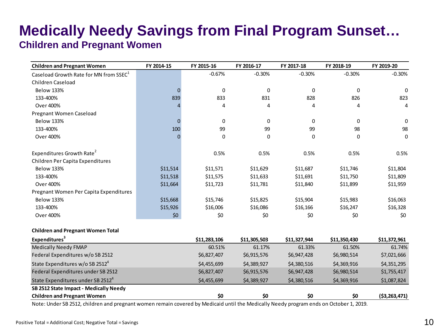### **Medically Needy Savings from Final Program Sunset…**

#### **Children and Pregnant Women**

| <b>Children and Pregnant Women</b>                 | FY 2014-15 | FY 2015-16   | FY 2016-17   | FY 2017-18   | FY 2018-19   | FY 2019-20     |
|----------------------------------------------------|------------|--------------|--------------|--------------|--------------|----------------|
| Caseload Growth Rate for MN from SSEC <sup>1</sup> |            | $-0.67%$     | $-0.30%$     | $-0.30%$     | $-0.30%$     | $-0.30%$       |
| Children Caseload                                  |            |              |              |              |              |                |
| <b>Below 133%</b>                                  | $\Omega$   | 0            | 0            | 0            | 0            | $\Omega$       |
| 133-400%                                           | 839        | 833          | 831          | 828          | 826          | 823            |
| Over 400%                                          |            | 4            | 4            | 4            | 4            | 4              |
| Pregnant Women Caseload                            |            |              |              |              |              |                |
| <b>Below 133%</b>                                  | $\Omega$   | 0            | 0            | 0            | $\mathbf{0}$ | 0              |
| 133-400%                                           | 100        | 99           | 99           | 99           | 98           | 98             |
| Over 400%                                          | $\Omega$   | 0            | 0            | 0            | 0            | 0              |
| Expenditures Growth Rate <sup>2</sup>              |            | 0.5%         | 0.5%         | 0.5%         | 0.5%         | 0.5%           |
| Children Per Capita Expenditures                   |            |              |              |              |              |                |
| <b>Below 133%</b>                                  | \$11,514   | \$11,571     | \$11,629     | \$11,687     | \$11,746     | \$11,804       |
| 133-400%                                           | \$11,518   | \$11,575     | \$11,633     | \$11,691     | \$11,750     | \$11,809       |
| Over 400%                                          | \$11,664   | \$11,723     | \$11,781     | \$11,840     | \$11,899     | \$11,959       |
| Pregnant Women Per Capita Expenditures             |            |              |              |              |              |                |
| <b>Below 133%</b>                                  | \$15,668   | \$15,746     | \$15,825     | \$15,904     | \$15,983     | \$16,063       |
| 133-400%                                           | \$15,926   | \$16,006     | \$16,086     | \$16,166     | \$16,247     | \$16,328       |
| Over 400%                                          | \$0        | \$0          | \$0          | \$0          | \$0          | \$0            |
| <b>Children and Pregnant Women Total</b>           |            |              |              |              |              |                |
| Expenditures <sup>3</sup>                          |            | \$11,283,106 | \$11,305,503 | \$11,327,944 | \$11,350,430 | \$11,372,961   |
| <b>Medically Needy FMAP</b>                        |            | 60.51%       | 61.17%       | 61.33%       | 61.50%       | 61.74%         |
| Federal Expenditures w/o SB 2512                   |            | \$6,827,407  | \$6,915,576  | \$6,947,428  | \$6,980,514  | \$7,021,666    |
| State Expenditures w/o SB 2512 <sup>4</sup>        |            | \$4,455,699  | \$4,389,927  | \$4,380,516  | \$4,369,916  | \$4,351,295    |
| Federal Expenditures under SB 2512                 |            | \$6,827,407  | \$6,915,576  | \$6,947,428  | \$6,980,514  | \$1,755,417    |
| State Expenditures under SB 2512 <sup>4</sup>      |            | \$4,455,699  | \$4,389,927  | \$4,380,516  | \$4,369,916  | \$1,087,824    |
| SB 2512 State Impact - Medically Needy             |            |              |              |              |              |                |
| <b>Children and Pregnant Women</b>                 |            | \$0          | \$0          | \$0          | \$0          | ( \$3,263,471) |

Note: Under SB 2512, children and pregnant women remain covered by Medicaid until the Medically Needy program ends on October 1, 2019.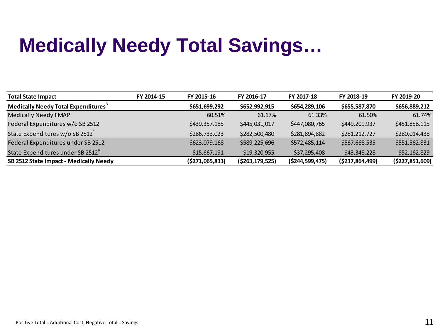## **Medically Needy Total Savings…**

| <b>Total State Impact</b>                       | FY 2014-15 | FY 2015-16       | FY 2016-17         | FY 2017-18         | FY 2018-19         | FY 2019-20         |
|-------------------------------------------------|------------|------------------|--------------------|--------------------|--------------------|--------------------|
| Medically Needy Total Expenditures <sup>3</sup> |            | \$651,699,292    | \$652,992,915      | \$654,289,106      | \$655,587,870      | \$656,889,212      |
| <b>Medically Needy FMAP</b>                     |            | 60.51%           | 61.17%             | 61.33%             | 61.50%             | 61.74%             |
| Federal Expenditures w/o SB 2512                |            | \$439,357,185    | \$445,031,017      | \$447,080,765      | \$449,209,937      | \$451,858,115      |
| State Expenditures w/o SB 2512 <sup>4</sup>     |            | \$286,733,023    | \$282,500,480      | \$281,894,882      | \$281,212,727      | \$280,014,438      |
| Federal Expenditures under SB 2512              |            | \$623,079,168    | \$589,225,696      | \$572,485,114      | \$567,668,535      | \$551,562,831      |
| State Expenditures under SB 2512 <sup>4</sup>   |            | \$15,667,191     | \$19,320,955       | \$37,295,408       | \$43,348,228       | \$52,162,829       |
| SB 2512 State Impact - Medically Needy          |            | ( \$271,065,833) | ( \$263, 179, 525) | ( \$244, 599, 475) | ( \$237, 864, 499) | ( \$227, 851, 609) |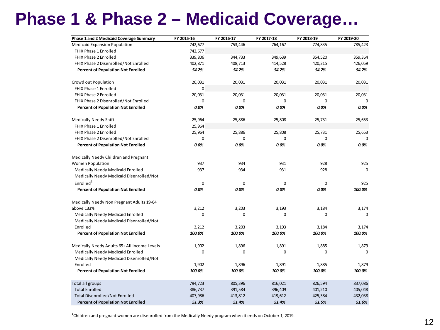### **Phase 1 & Phase 2 – Medicaid Coverage…**

| <b>Phase 1 and 2 Medicaid Coverage Summary</b> | FY 2015-16  | FY 2016-17 | FY 2017-18 | FY 2018-19 | FY 2019-20  |
|------------------------------------------------|-------------|------------|------------|------------|-------------|
| <b>Medicaid Expansion Population</b>           | 742,677     | 753,446    | 764,167    | 774,835    | 785,423     |
| FHIX Phase 1 Enrolled                          | 742,677     |            |            |            |             |
| <b>FHIX Phase 2 Enrolled</b>                   | 339,806     | 344,733    | 349,639    | 354,520    | 359,364     |
| FHIX Phase 2 Disenrolled/Not Enrolled          | 402,871     | 408,713    | 414,528    | 420,315    | 426,059     |
| <b>Percent of Population Not Enrolled</b>      | 54.2%       | 54.2%      | 54.2%      | 54.2%      | 54.2%       |
| Crowd out Population                           | 20,031      | 20,031     | 20,031     | 20,031     | 20,031      |
| FHIX Phase 1 Enrolled                          | $\mathbf 0$ |            |            |            |             |
| FHIX Phase 2 Enrolled                          | 20,031      | 20,031     | 20,031     | 20,031     | 20,031      |
| FHIX Phase 2 Disenrolled/Not Enrolled          | 0           | 0          | 0          | 0          | 0           |
| <b>Percent of Population Not Enrolled</b>      | 0.0%        | 0.0%       | 0.0%       | 0.0%       | 0.0%        |
| Medically Needy Shift                          | 25,964      | 25,886     | 25,808     | 25,731     | 25,653      |
| <b>FHIX Phase 1 Enrolled</b>                   | 25,964      |            |            |            |             |
| FHIX Phase 2 Enrolled                          | 25,964      | 25,886     | 25,808     | 25,731     | 25,653      |
| FHIX Phase 2 Disenrolled/Not Enrolled          | 0           | 0          | 0          | 0          | 0           |
| <b>Percent of Population Not Enrolled</b>      | $0.0\%$     | 0.0%       | 0.0%       | 0.0%       | 0.0%        |
| Medically Needy Children and Pregnant          |             |            |            |            |             |
| <b>Women Population</b>                        | 937         | 934        | 931        | 928        | 925         |
| Medically Needy Medicaid Enrolled              | 937         | 934        | 931        | 928        | $\Omega$    |
| Medically Needy Medicaid Disenrolled/Not       |             |            |            |            |             |
| Enrolled <sup>1</sup>                          | $\mathbf 0$ | $\Omega$   | $\Omega$   | $\Omega$   | 925         |
| <b>Percent of Population Not Enrolled</b>      | 0.0%        | 0.0%       | 0.0%       | 0.0%       | 100.0%      |
| Medically Needy Non Pregnant Adults 19-64      |             |            |            |            |             |
| above 133%                                     | 3,212       | 3,203      | 3,193      | 3,184      | 3,174       |
| Medically Needy Medicaid Enrolled              | $\mathbf 0$ | 0          | 0          | $\Omega$   | 0           |
| Medically Needy Medicaid Disenrolled/Not       |             |            |            |            |             |
| Enrolled                                       | 3,212       | 3,203      | 3,193      | 3,184      | 3,174       |
| <b>Percent of Population Not Enrolled</b>      | 100.0%      | 100.0%     | 100.0%     | 100.0%     | 100.0%      |
| Medically Needy Adults 65+ All Income Levels   | 1,902       | 1,896      | 1,891      | 1,885      | 1,879       |
| Medically Needy Medicaid Enrolled              | 0           | 0          | 0          | 0          | $\mathbf 0$ |
| Medically Needy Medicaid Disenrolled/Not       |             |            |            |            |             |
| Enrolled                                       | 1,902       | 1,896      | 1,891      | 1,885      | 1,879       |
| <b>Percent of Population Not Enrolled</b>      | 100.0%      | 100.0%     | 100.0%     | 100.0%     | 100.0%      |
| Total all groups                               | 794,723     | 805,396    | 816,021    | 826,594    | 837,086     |
| <b>Total Enrolled</b>                          | 386,737     | 391,584    | 396,409    | 401,210    | 405,048     |
| <b>Total Disenrolled/Not Enrolled</b>          | 407,986     | 413,812    | 419,612    | 425,384    | 432,038     |
| <b>Percent of Population Not Enrolled</b>      | 51.3%       | 51.4%      | 51.4%      | 51.5%      | 51.6%       |

1 Children and pregnant women are disenrolled from the Medically Needy program when it ends on October 1, 2019.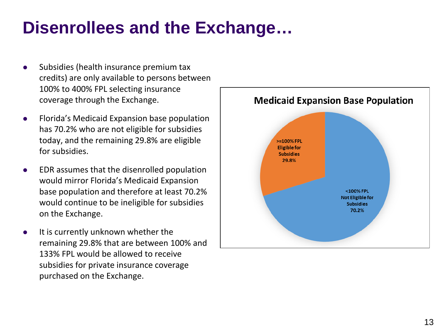### **Disenrollees and the Exchange…**

- Subsidies (health insurance premium tax credits) are only available to persons between 100% to 400% FPL selecting insurance coverage through the Exchange.
- **•** Florida's Medicaid Expansion base population has 70.2% who are not eligible for subsidies today, and the remaining 29.8% are eligible for subsidies.
- EDR assumes that the disenrolled population would mirror Florida's Medicaid Expansion base population and therefore at least 70.2% would continue to be ineligible for subsidies on the Exchange.
- It is currently unknown whether the remaining 29.8% that are between 100% and 133% FPL would be allowed to receive subsidies for private insurance coverage purchased on the Exchange.

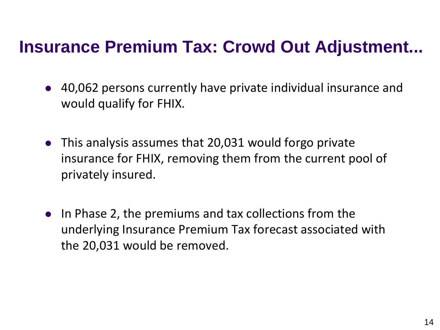### **Insurance Premium Tax: Crowd Out Adjustment...**

- 40,062 persons currently have private individual insurance and would qualify for FHIX.
- This analysis assumes that 20,031 would forgo private insurance for FHIX, removing them from the current pool of privately insured.
- In Phase 2, the premiums and tax collections from the underlying Insurance Premium Tax forecast associated with the 20,031 would be removed.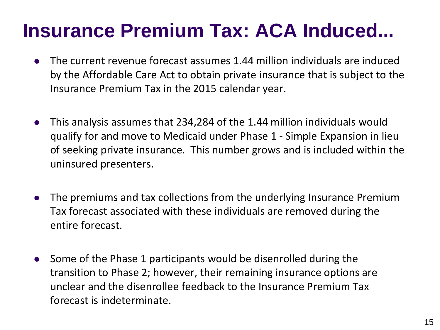## **Insurance Premium Tax: ACA Induced...**

- The current revenue forecast assumes 1.44 million individuals are induced by the Affordable Care Act to obtain private insurance that is subject to the Insurance Premium Tax in the 2015 calendar year.
- This analysis assumes that 234,284 of the 1.44 million individuals would qualify for and move to Medicaid under Phase 1 - Simple Expansion in lieu of seeking private insurance. This number grows and is included within the uninsured presenters.
- The premiums and tax collections from the underlying Insurance Premium Tax forecast associated with these individuals are removed during the entire forecast.
- Some of the Phase 1 participants would be disenrolled during the transition to Phase 2; however, their remaining insurance options are unclear and the disenrollee feedback to the Insurance Premium Tax forecast is indeterminate.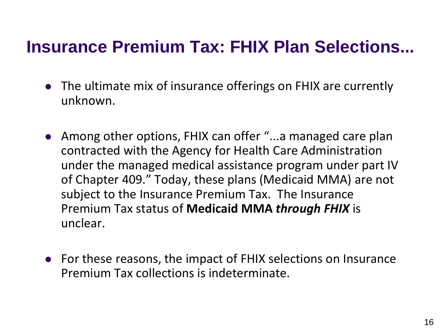### **Insurance Premium Tax: FHIX Plan Selections...**

- The ultimate mix of insurance offerings on FHIX are currently unknown.
- Among other options, FHIX can offer "...a managed care plan contracted with the Agency for Health Care Administration under the managed medical assistance program under part IV of Chapter 409." Today, these plans (Medicaid MMA) are not subject to the Insurance Premium Tax. The Insurance Premium Tax status of **Medicaid MMA** *through FHIX* is unclear.
- For these reasons, the impact of FHIX selections on Insurance Premium Tax collections is indeterminate.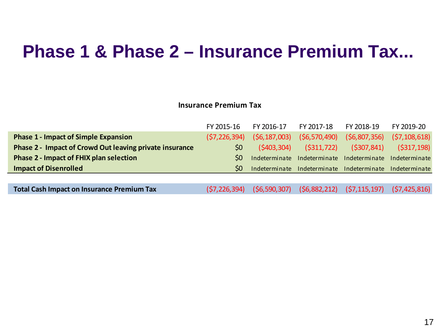### **Phase 1 & Phase 2 – Insurance Premium Tax...**

#### **Insurance Premium Tax**

|                                                         | FY 2015-16     | FY 2016-17  | FY 2017-18 FY 2018-19                                   |             | FY 2019-20     |
|---------------------------------------------------------|----------------|-------------|---------------------------------------------------------|-------------|----------------|
| <b>Phase 1 - Impact of Simple Expansion</b>             | (57, 226, 394) |             | $(56, 187, 003)$ $(56, 570, 490)$ $(56, 807, 356)$      |             | (57, 108, 618) |
| Phase 2 - Impact of Crowd Out leaving private insurance | 50             | (5403, 304) | ( \$311, 722)                                           | (5307, 841) | ( \$317,198)   |
| <b>Phase 2 - Impact of FHIX plan selection</b>          | S <sub>0</sub> |             | Indeterminate Indeterminate Indeterminate Indeterminate |             |                |
| <b>Impact of Disenrolled</b>                            | S <sub>0</sub> |             | Indeterminate Indeterminate Indeterminate Indeterminate |             |                |
|                                                         |                |             |                                                         |             |                |
|                                                         |                |             |                                                         |             |                |

**Total Cash Impact on Insurance Premium Tax** (\$7,226,394) (\$6,590,307) (\$6,882,212) (\$7,115,197) (\$7,425,816)